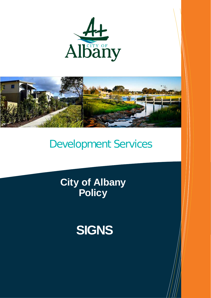



# Development Services

**City of Albany Policy**

# **SIGNS**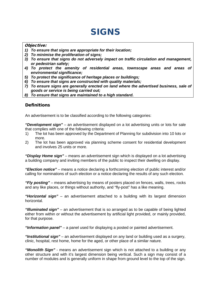# SIGNS

#### Objective:

- *1) To ensure that signs are appropriate for their location;*
- *2) To minimise the proliferation of signs;*
- *3) To ensure that signs do not adversely impact on traffic circulation and management, or pedestrian safety;*
- *4) To protect the amenity of residential areas, townscape areas and areas of environmental significance;*
- *5) To protect the significance of heritage places or buildings;*
- *6) To ensure that signs are constructed with quality materials;*
- *7) To ensure signs are generally erected on land where the advertised business, sale of goods or service is being carried out;*
- *8) To ensure that signs are maintained to a high standard.*

# **Definitions**

An advertisement is to be classified according to the following categories:

*"Development sign"* – an advertisement displayed on a lot advertising units or lots for sale that complies with one of the following criteria:

- 1) The lot has been approved by the Department of Planning for subdivision into 10 lots or more.
- 2) The lot has been approved via planning scheme consent for residential development and involves 25 units or more.

*"Display Home sign"* – means an advertisement sign which is displayed on a lot advertising a building company and inviting members of the public to inspect their dwelling on display.

*"Election notice"* – means a notice declaring a forthcoming election of public interest and/or calling for nominations of such election or a notice declaring the results of any such election.

*"Fly posting"* – means advertising by means of posters placed on fences, walls, trees, rocks and any like places, or things without authority, and "fly-post" has a like meaning.

*"Horizontal sign"* – an advertisement attached to a building with its largest dimension horizontal.

*"Illuminated sign"* – an advertisement that is so arranged as to be capable of being lighted either from within or without the advertisement by artificial light provided, or mainly provided, for that purpose.

*"Information panel"* – a panel used for displaying a posted or painted advertisement.

*"Institutional sign"* – an advertisement displayed on any land or building used as a surgery, clinic, hospital, rest home, home for the aged, or other place of a similar nature.

*"Monolith Sign"* - means an advertisement sign which is not attached to a building or any other structure and with it's largest dimension being vertical. Such a sign may consist of a number of modules and is generally uniform in shape from ground level to the top of the sign.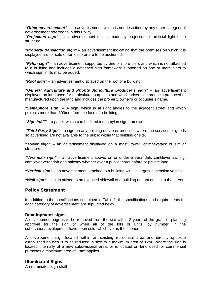*"Other advertisement"* – an advertisement, which is not described by any other category of advertisement referred to in this Policy.

*"Projection sign"* – an advertisement that is made by projection of artificial light on a structure.

*"Property transaction sign"* – an advertisement indicating that the premises on which it is displayed are for sale or for lease or are to be auctioned.

*"Pylon sign"* – an advertisement supported by one or more piers and which is not attached to a building and includes a detached sign framework supported on one or more piers to which sign infills may be added.

*"Roof sign"* – an advertisement displayed on the roof of a building.

*"General Agriculture and Priority Agriculture producer's sign"* – an advertisement displayed on land used for horticultural purposes and which advertises products produced or manufactured upon the land and includes the property owner's or occupier's name.

*"Semaphore sign"* – A sign, which is at right angles to the adjacent street and which projects more than 300mm from the face of a building.

*"Sign infill"* – a panel, which can be fitted into a pylon sign framework.

*"Third Party Sign"* – a sign on any building or site or premises where the services or goods so advertised are not available to the public within that building or site.

*"Tower sign"* – an advertisement displayed on a mast, tower, chimneystack or similar structure.

*"Verandah sign"* – an advertisement above, on or under a verandah, cantilever awning, cantilever verandah and balcony whether over a public thoroughfare or private land.

*"Vertical sign"* – an advertisement attached to a building with its largest dimension vertical.

*"Wall sign"* – a sign affixed to an exposed sidewall of a building at right angles to the street.

## Policy Statement

In addition to the specifications contained in Table 1, the specifications and requirements for each category of advertisement are stipulated below.

#### Development signs

A development sign is to be removed from the site within 2 years of the grant of planning approval for the sign or when all of the lots or units, by number, in the subdivision/development have been sold, whichever is the sooner.

A development sign located within an existing residential area and directly opposite established houses is to be reduced in size to a maximum area of 12m. Where the sign is located internally of a new subdivisional area, or is located on land used for commercial purposes a maximum area of  $18m^2$  applies.

#### Illuminated Signs

An illuminated sign shall -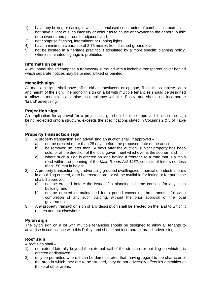- 1) have any boxing or casing in which it is enclosed constructed of combustible material;<br>2) ont have a light of such intensity or colour as to cause annoyance to the general publi
- 2) not have a light of such intensity or colour as to cause annoyance to the general public or to owners and patrons of adjacent land;
- 3) not comprise flashing, intermittent or running lights.
- 4) have a minimum clearance of 2.75 metres from finished ground level.
- 5) not be located in a heritage precinct, if stipulated by a more specific planning policy, where illuminated signage is prohibited.

#### Information panel

A wall panel should comprise a framework surround with a lockable transparent cover behind which separate notices may be pinned affixed or painted.

#### Monolith sign

All monolith signs shall have infills, either translucent or opaque, filling the complete width and height of the sign. The monolith sign on a lot with multiple tenancies should be designed to allow all tenants to advertise in compliance with this Policy, and should not incorporate 'brand' advertising.

#### Projection sign

An application for approval for a projection sign should not be approved if, upon the sign being projected onto a structure, exceeds the specifications stated in Columns 2 & 3 of Table 1.

#### Property transaction sign

- 1) A property transaction sign advertising an auction shall, if approved
	- a) not be erected more than 28 days before the proposed date of the auction;
	- b) be removed no later than 14 days after the auction, subject property has been sold, or at the direction of the local government whichever is the sooner; and
	- c) where such a sign is erected on land having a frontage to a road that is a main road within the meaning of the *Main Roads Act 1982*, consists of letters not less than 150 mm in height.
- 2) A property transaction sign advertising grouped dwellings/commercial or industrial units in a building erected, or to be erected, are, or will be available for letting or for purchase shall, if approved –
	- a) not be erected before the issue of a planning scheme consent for any such building; and
	- b) not be erected or maintained for a period exceeding three months following completion of any such building, without the prior approval of the local government.
- 3) Any property transaction sign of any description shall be erected on the land to which it relates and not elsewhere.

#### Pylon sign

The pylon sign on a lot with multiple tenancies should be designed to allow all tenants to advertise in compliance with this Policy, and should not incorporate 'brand' advertising.

#### Roof sign

A roof sign shall –

- 1) not extend laterally beyond the external wall of the structure or building on which it is erected or displayed.
- 2) only be permitted where it can be demonstrated that, having regard to the character of the area in which they are to be situated, they do not adversely affect it's amenities or those of other areas.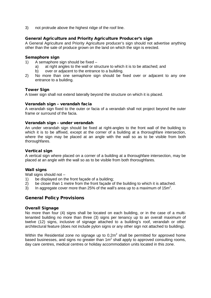3) not protrude above the highest ridge of the roof line.

#### General Agriculture and Priority Agriculture Producer's sign

A General Agriculture and Priority Agriculture producer's sign should not advertise anything other than the sale of produce grown on the land on which the sign is erected.

#### Semaphore sign

- 1) A semaphore sign should be fixed
	- a) at right angles to the wall or structure to which it is to be attached; and
	- b) over or adjacent to the entrance to a building.
- 2) No more than one semaphore sign should be fixed over or adjacent to any one entrance to a building.

#### Tower Sign

A tower sign shall not extend laterally beyond the structure on which it is placed.

#### Verandah sign – verandah facia

A verandah sign fixed to the outer or facia of a verandah shall not project beyond the outer frame or surround of the facia.

#### Verandah sign – under verandah

An under verandah sign should be fixed at right-angles to the front wall of the building to which it is to be affixed, except at the corner of a building at a thoroughfare intersection, where the sign may be placed at an angle with the wall so as to be visible from both thoroughfares.

#### Vertical sign

A vertical sign where placed on a corner of a building at a thoroughfare intersection, may be placed at an angle with the wall so as to be visible from both thoroughfares.

#### Wall signs

Wall signs should not  $-$ <br>1) be displayed on the

- 1) be displayed on the front façade of a building;<br>2) be closer than 1 metre from the front façade of
- be closer than 1 metre from the front façade of the building to which it is attached.
- 3) In aggregate cover more than 25% of the wall's area up to a maximum of 15m<sup>2</sup>.

## General Policy Provisions

#### Overall Signage

No more than four (4) signs shall be located on each building, or in the case of a multitenanted building no more than three (3) signs per tenancy up to an overall maximum of twelve (12) signs, inclusive of signage attached to a building's roof, verandah or other architectural feature (does not include pylon signs or any other sign not attached to building).

Within the Residential zone no signage up to  $0.2m<sup>2</sup>$  shall be permitted for approved home based businesses, and signs no greater than  $1m<sup>2</sup>$  shall apply to approved consulting rooms, day care centres, medical centres or holiday accommodation units located in this zone.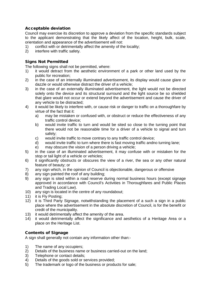# Acceptable deviation

Council may exercise its discretion to approve a deviation from the specific standards subject to the applicant demonstrating that the likely affect of the location, height, bulk, scale, orientation and appearance of the advertisement will not:

- 1) conflict with or detrimentally affect the amenity of the locality;<br>2) interfere with traffic safety.
- interfere with traffic safety.

## Signs Not Permitted

The following signs shall not be permitted, where:

- 1) it would detract from the aesthetic environment of a park or other land used by the public for recreation;
- 2) in the case of an internally illuminated advertisement, its display would cause glare or dazzle or would otherwise distract the driver of a vehicle;
- 3) in the case of an externally illuminated advertisement, the light would not be directed solely onto the device and its structural surround and the light source be so shielded that glare would not occur or extend beyond the advertisement and cause the driver of any vehicle to be distracted;
- 4) it would be likely to interfere with, or cause risk or danger to traffic on a thoroughfare by virtue of the fact that it:
	- a) may be mistaken or confused with, or obstruct or reduce the effectiveness of any traffic control device;
	- b) would invite traffic to turn and would be sited so close to the turning point that there would not be reasonable time for a driver of a vehicle to signal and turn safely;
	- c) would invite traffic to move contrary to any traffic control device;<br>d) would invite traffic to turn where there is fast moving traffic and no
	- d) would invite traffic to turn where there is fast moving traffic andno turning lane;<br>e) may obscure the vision of a person driving a vehicle;
	- may obscure the vision of a person driving a vehicle;
- 5) in the case of an illuminated advertisement, it may confuse with or mistaken for the stop or tail light of a vehicle or vehicles;
- 6) it significantly obstructs or obscures the view of a river, the sea or any other natural feature of beauty; or
- 7) any sign which, in the opinion of Council is objectionable, dangerous or offensive
- 8) any sign painted the roof of any building;
- 9) any sign is sited within a road reserve during normal business hours (except signage approved in accordance with Council's Activities in Thoroughfares and Public Places and Trading Local Law).
- 10) any sign is located in the centre of any roundabout;
- 11) it is Fly Posting;
- 12) it is Third Party Signage, notwithstanding the placement of a such a sign in a public place where the advertisement in the absolute discretion of Council, is for the benefit or credit of the municipality.
- 13) it would detrimentally affect the amenity of the area.
- 14) it would detrimentally affect the significance and aesthetics of a Heritage Area or a place on the Heritage List.

# Contents of Signage

A sign shall generally not contain any information other than:-

- 1) The name of any occupiers;<br>2) Details of the business name
- 2) Details of the business name or business carried-out on the land;<br>3) Telephone or contact details;
- 3) Telephone or contact details;<br>4) Details of the goods sold or so
- Details of the goods sold or services provided;
- 5) The trademark or logo of the business or products for sale;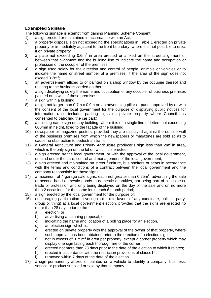# Exempted Signage

The following signage is exempt from gaining Planning Scheme Consent:

- 1) a sign erected or maintained in accordance with an Act;<br>2) a property disposal sign not exceeding the specification
- a property disposal sign not exceeding the specifications in Table 1 erected on private property or immediately adjacent to the front boundary, where it is not possible to erect it on private property;
- 3) a plate not exceeding  $0.6m^2$  in area erected or affixed on the street alignment or between that alignment and the building line to indicate the name and occupation or profession of the occupier of the premises;
- 4) a sign used solely for the direction and control of people, animals or vehicles or to indicate the name or street number of a premises, if the area of the sign does not exceed  $0.2<sup>2</sup>$ ;
- 5) an advertisement affixed to or painted on a shop window by the occupier thereof and relating to the business carried on therein;
- 6) a sign displaying solely the name and occupation of any occupier of business premises painted on a wall of those premises;;
- 7) a sign within a building:
- 8) a sign not larger than 0.7m x 0.9m on an advertising pillar or panel approved by or with the consent of the local government for the purpose of displaying public notices for information (also includes parking signs on private property where Council has consented to patrolling the car park);
- 9) a building name sign on any building, where it is of a single line of letters not exceeding 600mm in height, fixed to the facade of the building;
- 10) newspaper or magazine posters, provided they are displayed against the outside wall of the business premises from which the newspapers or magazines are sold so as to cause no obstruction to pedestrian traffic;
- 11) a General Agriculture and Priority Agriculture producer's sign less than  $2m^2$  in area, which is the only sign on the lot on which it is erected;
- 12) a sign erected by the local government, or with the approval of the local government, on land under the care, control and management of the local government;
- 13) a sign erected and maintained on street furniture, bus shelters or seats in accordance with the terms and conditions of a contract between the local government and the company responsible for those signs;
- 14) a maximum of 4 garage sale signs, each not greater than  $0.25m^2$ , advertising the sale of second hand domestic goods in domestic quantities, not being part of a business, trade or profession and only being displayed on the day of the sale and on no more than 2 occasions for the same lot in each 6 month period;
- 15) a sign erected by the local government for the purpose of:
- 16) encouraging participation in voting (but not in favour of any candidate, political party, group or thing) at a local government election, provided that the signs are erected no more than 28 days prior to the
	- a) election; or
	- b) advertising a planning proposal; or
	- c) indicating the name and location of a polling place for an election.
	- d) an election sign which is:
	- e) erected on private property with the approval of the owner of that property, where such approval has been obtained prior to the erection of a election sign;
	- f) not in excess of 0.75 $m^2$  in area per property, except a corner property which may display one sign facing each thoroughfare of the corner;
	- g) erected not more than 28 days prior to the date of the election to which it relates;
	- h) erected in accordance with the restriction provisions of clause14;
	- i) removed within 7 days of the date of the election.
- 17) a sign permanently affixed or painted on a vehicle to identify a company, business, service or product supplied or sold by that company.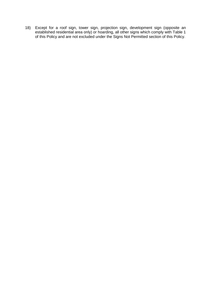18) Except for a roof sign, tower sign, projection sign, development sign (opposite an established residential area only) or hoarding, all other signs which comply with Table 1 of this Policy and are not excluded under the Signs Not Permitted section of this Policy.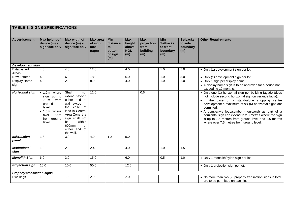# **TABLE 1: SIGNS SPECIFICATIONS**

| <b>Advertisement</b>              | Max height of<br>device (m) -<br>sign face only                                                                                 | Max width of<br>$device(m)$ –<br>sign face only                                                                                                                                                        | <b>Max area</b><br>of sign<br>face<br>(sqm) | <b>Min</b><br>distance<br>to<br>bottom<br>of sign<br>(m) | <b>Max</b><br>height<br>above<br><b>NGL</b><br>(m) | <b>Max</b><br>projection<br>from<br>building<br>(m) | <b>Min</b><br><b>Setbacks</b><br>to front<br>boundary<br>(m) | <b>Setbacks</b><br>to side<br>boundary<br>(m) | <b>Other Requirements</b>                                                                                                                                                                                                                                                                                                                                                                                                                                      |  |
|-----------------------------------|---------------------------------------------------------------------------------------------------------------------------------|--------------------------------------------------------------------------------------------------------------------------------------------------------------------------------------------------------|---------------------------------------------|----------------------------------------------------------|----------------------------------------------------|-----------------------------------------------------|--------------------------------------------------------------|-----------------------------------------------|----------------------------------------------------------------------------------------------------------------------------------------------------------------------------------------------------------------------------------------------------------------------------------------------------------------------------------------------------------------------------------------------------------------------------------------------------------------|--|
| <b>Development sign</b>           |                                                                                                                                 |                                                                                                                                                                                                        |                                             |                                                          |                                                    |                                                     |                                                              |                                               |                                                                                                                                                                                                                                                                                                                                                                                                                                                                |  |
| Established<br>Areas              | 4.0                                                                                                                             | 4.0                                                                                                                                                                                                    | 12.0                                        |                                                          | 4.0                                                |                                                     | 1.0                                                          | 5.0                                           | • Only (1) development sign per lot.                                                                                                                                                                                                                                                                                                                                                                                                                           |  |
| <b>New Estates</b>                | 4.0                                                                                                                             | 6.0                                                                                                                                                                                                    | 18.0                                        |                                                          | 5.0                                                |                                                     | 1.0                                                          | 5.0                                           | • Only (1) development sign per lot.                                                                                                                                                                                                                                                                                                                                                                                                                           |  |
| Display Home<br>sign              | 4.0                                                                                                                             | 2.0                                                                                                                                                                                                    | 8.0                                         |                                                          | 4.0                                                |                                                     | 1.0                                                          | 2.0                                           | • Only 1 sign per display home.<br>• A display home sign is to be approved for a period not<br>exceeding 12 months.                                                                                                                                                                                                                                                                                                                                            |  |
| <b>Horizontal sign</b>            | $\bullet$ 1.2m where<br>sign up to<br>from<br>7.5m<br>ground<br>level.<br>• 1.6m where<br>7.5m<br>over<br>from ground<br>level. | Shall<br>not<br>extend beyond<br>either end of<br>wall, except in<br>the<br>case of<br>land in Central<br>Area Zone the<br>sign shall not<br>within<br>be<br>600mm<br>0f<br>either end of<br>the wall. | 12.0                                        |                                                          |                                                    | 0.6                                                 |                                                              |                                               | • Only one (1) horizontal sign per building façade (does<br>not include second horizontal sign on veranda facia).<br>. In the case of a stand-alone shopping centre<br>development a maximum of six (6) horizontal signs are<br>permitted.<br>• A company's logo/symbol (non-word) as part of a<br>horizontal sign can extend to 2.0 metres where the sign<br>is up to 7.5 metres from ground level and 2.5 metres<br>where over 7.5 metres from ground level. |  |
| <b>Information</b><br>panel       | 1.8                                                                                                                             | 3.0                                                                                                                                                                                                    | 4.0                                         | 1.2                                                      | 5.0                                                |                                                     |                                                              |                                               |                                                                                                                                                                                                                                                                                                                                                                                                                                                                |  |
| <b>Institutional</b><br>sign      | 1.2                                                                                                                             | 2.0                                                                                                                                                                                                    | 2.4                                         |                                                          | 4.0                                                |                                                     | 1.0                                                          | 1.5                                           |                                                                                                                                                                                                                                                                                                                                                                                                                                                                |  |
| <b>Monolith Sign</b>              | 6.0                                                                                                                             | 3.0                                                                                                                                                                                                    | 15.0                                        |                                                          | 6.0                                                |                                                     | 0.5                                                          | 1.0                                           | • Only 1 monolith/pylon sign per lot.                                                                                                                                                                                                                                                                                                                                                                                                                          |  |
| <b>Projection sign</b>            | 10.0                                                                                                                            | 10.0                                                                                                                                                                                                   | 50.0                                        |                                                          | 12.0                                               |                                                     |                                                              |                                               | • Only 1 projection sign per lot.                                                                                                                                                                                                                                                                                                                                                                                                                              |  |
| <b>Property transaction signs</b> |                                                                                                                                 |                                                                                                                                                                                                        |                                             |                                                          |                                                    |                                                     |                                                              |                                               |                                                                                                                                                                                                                                                                                                                                                                                                                                                                |  |
| <b>Dwellings</b>                  | 1.8                                                                                                                             | 1.5                                                                                                                                                                                                    | 2.0                                         |                                                          | 2.0                                                |                                                     |                                                              |                                               | • No more than two (2) property transaction signs in total<br>are to be permitted on each lot.                                                                                                                                                                                                                                                                                                                                                                 |  |